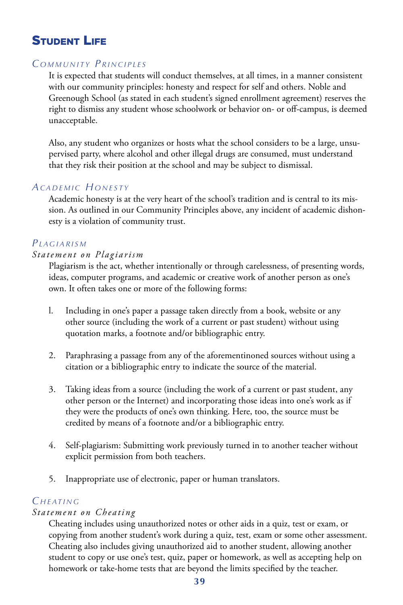# **STUDENT LIFE**

### *C o m m u n i t y P ri n c i p l e s*

It is expected that students will conduct themselves, at all times, in a manner consistent with our community principles: honesty and respect for self and others. Noble and Greenough School (as stated in each student's signed enrollment agreement) reserves the right to dismiss any student whose schoolwork or behavior on- or off-campus, is deemed unacceptable.

Also, any student who organizes or hosts what the school considers to be a large, unsupervised party, where alcohol and other illegal drugs are consumed, must understand that they risk their position at the school and may be subject to dismissal.

### *Ac a d e m i c H o n e s t y*

Academic honesty is at the very heart of the school's tradition and is central to its mission. As outlined in our Community Principles above, any incident of academic dishonesty is a violation of community trust.

## *Pl a g i a ri s m*

#### *Statement on Plagiarism*

Plagiarism is the act, whether intentionally or through carelessness, of presenting words, ideas, computer programs, and academic or creative work of another person as one's own. It often takes one or more of the following forms:

- l. Including in one's paper a passage taken directly from a book, website or any other source (including the work of a current or past student) without using quotation marks, a footnote and/or bibliographic entry.
- 2. Paraphrasing a passage from any of the aforementinoned sources without using a citation or a bibliographic entry to indicate the source of the material.
- 3. Taking ideas from a source (including the work of a current or past student, any other person or the Internet) and incorporating those ideas into one's work as if they were the products of one's own thinking. Here, too, the source must be credited by means of a footnote and/or a bibliographic entry.
- 4. Self-plagiarism: Submitting work previously turned in to another teacher without explicit permission from both teachers.
- 5. Inappropriate use of electronic, paper or human translators.

## *C <sup>h</sup> e at <sup>i</sup> n g*

### *Statement on Cheating*

Cheating includes using unauthorized notes or other aids in a quiz, test or exam, or copying from another student's work during a quiz, test, exam or some other assessment. Cheating also includes giving unauthorized aid to another student, allowing another student to copy or use one's test, quiz, paper or homework, as well as accepting help on homework or take-home tests that are beyond the limits specified by the teacher.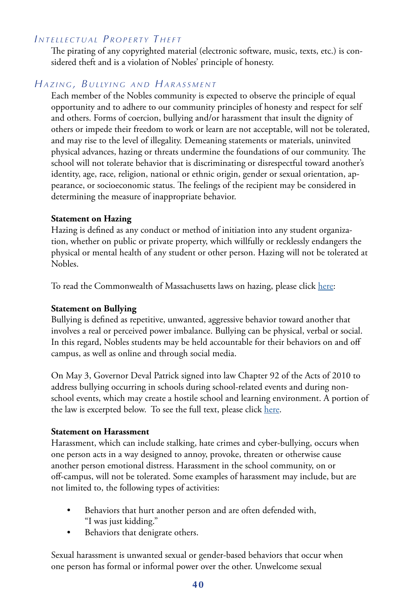# *I n t e l l e c t u a l P r o p e r t y T h e f t*

The pirating of any copyrighted material (electronic software, music, texts, etc.) is considered theft and is a violation of Nobles' principle of honesty.

## *Ha z i n g , B u l ly i n g a n d Ha r a s s m e n t*

Each member of the Nobles community is expected to observe the principle of equal opportunity and to adhere to our community principles of honesty and respect for self and others. Forms of coercion, bullying and/or harassment that insult the dignity of others or impede their freedom to work or learn are not acceptable, will not be tolerated, and may rise to the level of illegality. Demeaning statements or materials, uninvited physical advances, hazing or threats undermine the foundations of our community. The school will not tolerate behavior that is discriminating or disrespectful toward another's identity, age, race, religion, national or ethnic origin, gender or sexual orientation, appearance, or socioeconomic status. The feelings of the recipient may be considered in determining the measure of inappropriate behavior.

### **Statement on Hazing**

Hazing is defined as any conduct or method of initiation into any student organization, whether on public or private property, which willfully or recklessly endangers the physical or mental health of any student or other person. Hazing will not be tolerated at Nobles.

To read the Commonwealth of Massachusetts laws on hazing, please click here:

### **Statement on Bullying**

Bullying is defined as repetitive, unwanted, aggressive behavior toward another that involves a real or perceived power imbalance. Bullying can be physical, verbal or social. In this regard, Nobles students may be held accountable for their behaviors on and off campus, as well as online and through social media.

On May 3, Governor Deval Patrick signed into law Chapter 92 of the Acts of 2010 to address bullying occurring in schools during school-related events and during nonschool events, which may create a hostile school and learning environment. A portion of the law is excerpted below. To see the full text, please click here.

### **Statement on Harassment**

Harassment, which can include stalking, hate crimes and cyber-bullying, occurs when one person acts in a way designed to annoy, provoke, threaten or otherwise cause another person emotional distress. Harassment in the school community, on or off-campus, will not be tolerated. Some examples of harassment may include, but are not limited to, the following types of activities:

- Behaviors that hurt another person and are often defended with, "I was just kidding."
- Behaviors that denigrate others.

Sexual harassment is unwanted sexual or gender-based behaviors that occur when one person has formal or informal power over the other. Unwelcome sexual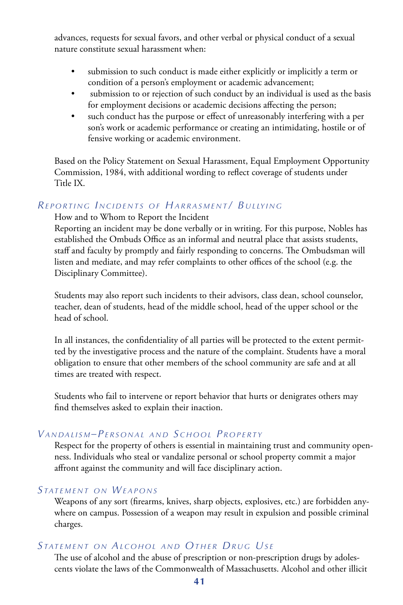advances, requests for sexual favors, and other verbal or physical conduct of a sexual nature constitute sexual harassment when:

- submission to such conduct is made either explicitly or implicitly a term or condition of a person's employment or academic advancement;
- submission to or rejection of such conduct by an individual is used as the basis for employment decisions or academic decisions affecting the person;
- such conduct has the purpose or effect of unreasonably interfering with a per son's work or academic performance or creating an intimidating, hostile or of fensive working or academic environment.

Based on the Policy Statement on Sexual Harassment, Equal Employment Opportunity Commission, 1984, with additional wording to reflect coverage of students under Title IX.

## *REPORTING INCIDENTS OF HARRASMENT/ BULLYING*

How and to Whom to Report the Incident

Reporting an incident may be done verbally or in writing. For this purpose, Nobles has established the Ombuds Office as an informal and neutral place that assists students, staff and faculty by promptly and fairly responding to concerns. The Ombudsman will listen and mediate, and may refer complaints to other offices of the school (e.g. the Disciplinary Committee).

Students may also report such incidents to their advisors, class dean, school counselor, teacher, dean of students, head of the middle school, head of the upper school or the head of school.

In all instances, the confidentiality of all parties will be protected to the extent permitted by the investigative process and the nature of the complaint. Students have a moral obligation to ensure that other members of the school community are safe and at all times are treated with respect.

Students who fail to intervene or report behavior that hurts or denigrates others may find themselves asked to explain their inaction.

## *VANDALISM-PERSONAL AND SCHOOL PROPERTY*

Respect for the property of others is essential in maintaining trust and community openness. Individuals who steal or vandalize personal or school property commit a major affront against the community and will face disciplinary action.

## *STATEMENT ON WEAPONS*

Weapons of any sort (firearms, knives, sharp objects, explosives, etc.) are forbidden anywhere on campus. Possession of a weapon may result in expulsion and possible criminal charges.

### *S tat e m e n t o n Al c o <sup>h</sup> o l a n d Ot <sup>h</sup> <sup>e</sup> <sup>r</sup> Dr u g Us e*

The use of alcohol and the abuse of prescription or non-prescription drugs by adolescents violate the laws of the Commonwealth of Massachusetts. Alcohol and other illicit